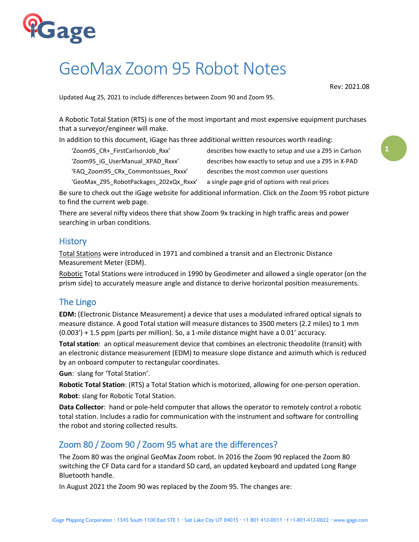

# GeoMax Zoom 95 Robot Notes

Rev: 2021.08

Updated Aug 25, 2021 to include differences between Zoom 90 and Zoom 95.

A Robotic Total Station (RTS) is one of the most important and most expensive equipment purchases that a surveyor/engineer will make.

In addition to this document, iGage has three additional written resources worth reading:

'Zoom95\_CR+\_FirstCarlsonJob\_Rxx' describes how exactly to setup and use a Z95 in Carlson

'Zoom95 iG UserManual XPAD Rxxx' describes how exactly to setup and use a Z95 in X-PAD

'FAQ\_Zoom95\_CRx\_CommonIssues\_Rxxx' describes the most common user questions

'GeoMax\_Z95\_RobotPackages\_202xQx\_Rxxx' a single page grid of options with real prices

Be sure to check out the iGage website for additional information. Click on the Zoom 95 robot picture to find the current web page.

There are several nifty videos there that show Zoom 9x tracking in high traffic areas and power searching in urban conditions.

## **History**

Total Stations were introduced in 1971 and combined a transit and an Electronic Distance Measurement Meter (EDM).

Robotic Total Stations were introduced in 1990 by Geodimeter and allowed a single operator (on the prism side) to accurately measure angle and distance to derive horizontal position measurements.

## The Lingo

**EDM:** (Electronic Distance Measurement) a device that uses a modulated infrared optical signals to measure distance. A good Total station will measure distances to 3500 meters (2.2 miles) to 1 mm (0.003') + 1.5 ppm (parts per million). So, a 1-mile distance might have a 0.01' accuracy.

**Total station**: an optical measurement device that combines an electronic theodolite (transit) with an electronic distance measurement (EDM) to measure slope distance and azimuth which is reduced by an onboard computer to rectangular coordinates.

**Gun**: slang for 'Total Station'.

**Robotic Total Station**: (RTS) a Total Station which is motorized, allowing for one-person operation. **Robot**: slang for Robotic Total Station.

**Data Collector**: hand or pole-held computer that allows the operator to remotely control a robotic total station. Includes a radio for communication with the instrument and software for controlling the robot and storing collected results.

## Zoom 80 / Zoom 90 / Zoom 95 what are the differences?

The Zoom 80 was the original GeoMax Zoom robot. In 2016 the Zoom 90 replaced the Zoom 80 switching the CF Data card for a standard SD card, an updated keyboard and updated Long Range Bluetooth handle.

In August 2021 the Zoom 90 was replaced by the Zoom 95. The changes are: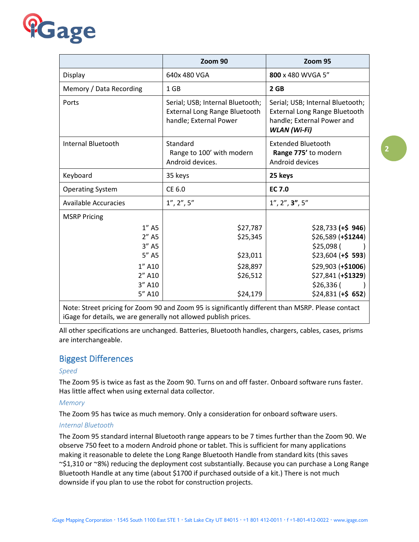

|                                                                            | Zoom 90                                                                                     | Zoom 95                                                                                                                                  |
|----------------------------------------------------------------------------|---------------------------------------------------------------------------------------------|------------------------------------------------------------------------------------------------------------------------------------------|
| Display                                                                    | 640x 480 VGA                                                                                | 800 x 480 WVGA 5"                                                                                                                        |
| Memory / Data Recording                                                    | 1 GB                                                                                        | 2 <sub>GB</sub>                                                                                                                          |
| Ports                                                                      | Serial; USB; Internal Bluetooth;<br>External Long Range Bluetooth<br>handle; External Power | Serial; USB; Internal Bluetooth;<br><b>External Long Range Bluetooth</b><br>handle; External Power and<br><b>WLAN</b> (Wi-Fi)            |
| Internal Bluetooth                                                         | Standard<br>Range to 100' with modern<br>Android devices.                                   | <b>Extended Bluetooth</b><br>Range 775' to modern<br>Android devices                                                                     |
| Keyboard                                                                   | 35 keys                                                                                     | 25 keys                                                                                                                                  |
| <b>Operating System</b>                                                    | CE 6.0                                                                                      | <b>EC 7.0</b>                                                                                                                            |
| <b>Available Accuracies</b>                                                | 1'', 2'', 5''                                                                               | 1'', 2'', 3'', 5''                                                                                                                       |
| <b>MSRP Pricing</b>                                                        |                                                                                             |                                                                                                                                          |
| $1''$ A5<br>$2''$ A5<br>$3''$ A5<br>$5''$ A5<br>1" A10<br>2" A10<br>3" A10 | \$27,787<br>\$25,345<br>\$23,011<br>\$28,897<br>\$26,512                                    | $$28,733$ (+\$ 946)<br>$$26,589 (+$1244)$<br>\$25,098 (<br>$$23,604 (+$ 593)$<br>$$29,903 (+$1006)$<br>\$27,841 (+\$1329)<br>$$26,336$ ( |
| 5" A10                                                                     | \$24,179                                                                                    | $$24,831$ (+\$ 652)                                                                                                                      |

Note: Street pricing for Zoom 90 and Zoom 95 is significantly different than MSRP. Please contact iGage for details, we are generally not allowed publish prices.

All other specifications are unchanged. Batteries, Bluetooth handles, chargers, cables, cases, prisms are interchangeable.

## Biggest Differences

#### *Speed*

The Zoom 95 is twice as fast as the Zoom 90. Turns on and off faster. Onboard software runs faster. Has little affect when using external data collector.

#### *Memory*

The Zoom 95 has twice as much memory. Only a consideration for onboard software users.

#### *Internal Bluetooth*

The Zoom 95 standard internal Bluetooth range appears to be 7 times further than the Zoom 90. We observe 750 feet to a modern Android phone or tablet. This is sufficient for many applications making it reasonable to delete the Long Range Bluetooth Handle from standard kits (this saves ~\$1,310 or ~8%) reducing the deployment cost substantially. Because you can purchase a Long Range Bluetooth Handle at any time (about \$1700 if purchased outside of a kit.) There is not much downside if you plan to use the robot for construction projects.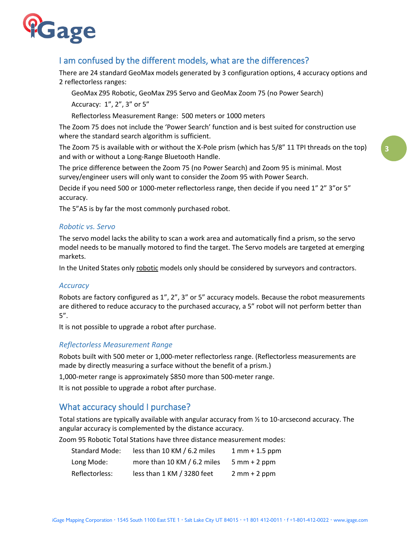

## I am confused by the different models, what are the differences?

There are 24 standard GeoMax models generated by 3 configuration options, 4 accuracy options and 2 reflectorless ranges:

GeoMax Z95 Robotic, GeoMax Z95 Servo and GeoMax Zoom 75 (no Power Search)

Accuracy: 1", 2", 3" or 5"

Reflectorless Measurement Range: 500 meters or 1000 meters

The Zoom 75 does not include the 'Power Search' function and is best suited for construction use where the standard search algorithm is sufficient.

The Zoom 75 is available with or without the X-Pole prism (which has 5/8" 11 TPI threads on the top) and with or without a Long-Range Bluetooth Handle.

The price difference between the Zoom 75 (no Power Search) and Zoom 95 is minimal. Most survey/engineer users will only want to consider the Zoom 95 with Power Search.

Decide if you need 500 or 1000-meter reflectorless range, then decide if you need 1" 2" 3"or 5" accuracy.

The 5"A5 is by far the most commonly purchased robot.

#### *Robotic vs. Servo*

The servo model lacks the ability to scan a work area and automatically find a prism, so the servo model needs to be manually motored to find the target. The Servo models are targeted at emerging markets.

In the United States only robotic models only should be considered by surveyors and contractors.

#### *Accuracy*

Robots are factory configured as 1", 2", 3" or 5" accuracy models. Because the robot measurements are dithered to reduce accuracy to the purchased accuracy, a 5" robot will not perform better than 5".

It is not possible to upgrade a robot after purchase.

#### *Reflectorless Measurement Range*

Robots built with 500 meter or 1,000-meter reflectorless range. (Reflectorless measurements are made by directly measuring a surface without the benefit of a prism.)

1,000-meter range is approximately \$850 more than 500-meter range.

It is not possible to upgrade a robot after purchase.

## What accuracy should I purchase?

Total stations are typically available with angular accuracy from ½ to 10-arcsecond accuracy. The angular accuracy is complemented by the distance accuracy.

Zoom 95 Robotic Total Stations have three distance measurement modes:

| Standard Mode: | less than 10 KM / 6.2 miles | $1 \, \text{mm} + 1.5 \, \text{ppm}$ |
|----------------|-----------------------------|--------------------------------------|
| Long Mode:     | more than 10 KM / 6.2 miles | $5 \text{ mm} + 2 \text{ ppm}$       |
| Reflectorless: | less than 1 KM / 3280 feet  | $2 mm + 2 ppm$                       |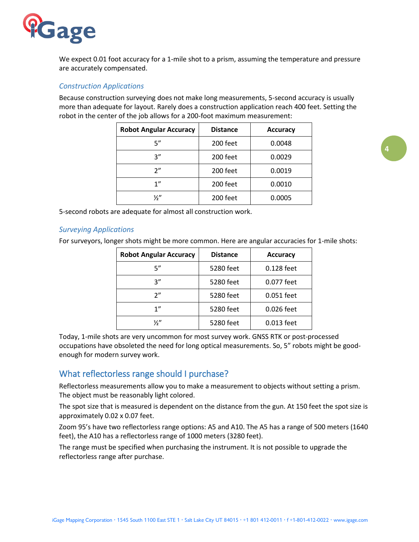

We expect 0.01 foot accuracy for a 1-mile shot to a prism, assuming the temperature and pressure are accurately compensated.

#### *Construction Applications*

Because construction surveying does not make long measurements, 5-second accuracy is usually more than adequate for layout. Rarely does a construction application reach 400 feet. Setting the robot in the center of the job allows for a 200-foot maximum measurement:

| <b>Robot Angular Accuracy</b> | <b>Distance</b> | <b>Accuracy</b> |
|-------------------------------|-----------------|-----------------|
| 5"                            | 200 feet        | 0.0048          |
| 3''                           | 200 feet        | 0.0029          |
| 2"                            | 200 feet        | 0.0019          |
| 1"                            | 200 feet        | 0.0010          |
| ⅓″                            | 200 feet        | 0.0005          |

5-second robots are adequate for almost all construction work.

#### *Surveying Applications*

For surveyors, longer shots might be more common. Here are angular accuracies for 1-mile shots:

| <b>Robot Angular Accuracy</b> | <b>Distance</b> | <b>Accuracy</b> |
|-------------------------------|-----------------|-----------------|
| 5"                            | 5280 feet       | 0.128 feet      |
| ر ?                           | 5280 feet       | 0.077 feet      |
| ን"                            | 5280 feet       | 0.051 feet      |
| 1"                            | 5280 feet       | 0.026 feet      |
| ¼"                            | 5280 feet       | 0.013 feet      |

Today, 1-mile shots are very uncommon for most survey work. GNSS RTK or post-processed occupations have obsoleted the need for long optical measurements. So, 5" robots might be goodenough for modern survey work.

## What reflectorless range should I purchase?

Reflectorless measurements allow you to make a measurement to objects without setting a prism. The object must be reasonably light colored.

The spot size that is measured is dependent on the distance from the gun. At 150 feet the spot size is approximately 0.02 x 0.07 feet.

Zoom 95's have two reflectorless range options: A5 and A10. The A5 has a range of 500 meters (1640 feet), the A10 has a reflectorless range of 1000 meters (3280 feet).

The range must be specified when purchasing the instrument. It is not possible to upgrade the reflectorless range after purchase.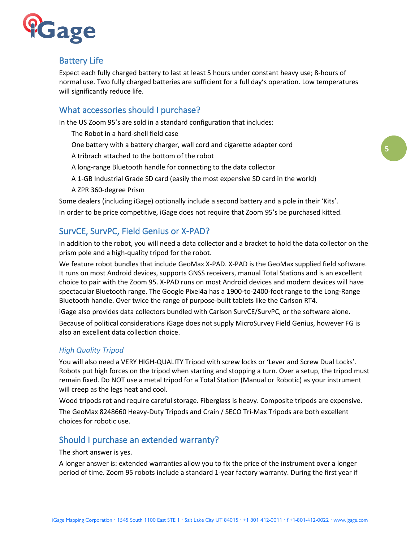

## Battery Life

Expect each fully charged battery to last at least 5 hours under constant heavy use; 8-hours of normal use. Two fully charged batteries are sufficient for a full day's operation. Low temperatures will significantly reduce life.

## What accessories should I purchase?

In the US Zoom 95's are sold in a standard configuration that includes:

- The Robot in a hard-shell field case
- One battery with a battery charger, wall cord and cigarette adapter cord
- A tribrach attached to the bottom of the robot
- A long-range Bluetooth handle for connecting to the data collector
- A 1-GB Industrial Grade SD card (easily the most expensive SD card in the world)
- A ZPR 360-degree Prism

Some dealers (including iGage) optionally include a second battery and a pole in their 'Kits'. In order to be price competitive, iGage does not require that Zoom 95's be purchased kitted.

## SurvCE, SurvPC, Field Genius or X-PAD?

In addition to the robot, you will need a data collector and a bracket to hold the data collector on the prism pole and a high-quality tripod for the robot.

We feature robot bundles that include GeoMax X-PAD. X-PAD is the GeoMax supplied field software. It runs on most Android devices, supports GNSS receivers, manual Total Stations and is an excellent choice to pair with the Zoom 95. X-PAD runs on most Android devices and modern devices will have spectacular Bluetooth range. The Google Pixel4a has a 1900-to-2400-foot range to the Long-Range Bluetooth handle. Over twice the range of purpose-built tablets like the Carlson RT4.

iGage also provides data collectors bundled with Carlson SurvCE/SurvPC, or the software alone.

Because of political considerations iGage does not supply MicroSurvey Field Genius, however FG is also an excellent data collection choice.

#### *High Quality Tripod*

You will also need a VERY HIGH-QUALITY Tripod with screw locks or 'Lever and Screw Dual Locks'. Robots put high forces on the tripod when starting and stopping a turn. Over a setup, the tripod must remain fixed. Do NOT use a metal tripod for a Total Station (Manual or Robotic) as your instrument will creep as the legs heat and cool.

Wood tripods rot and require careful storage. Fiberglass is heavy. Composite tripods are expensive.

The GeoMax 8248660 Heavy-Duty Tripods and Crain / SECO Tri-Max Tripods are both excellent choices for robotic use.

## Should I purchase an extended warranty?

The short answer is yes.

A longer answer is: extended warranties allow you to fix the price of the instrument over a longer period of time. Zoom 95 robots include a standard 1-year factory warranty. During the first year if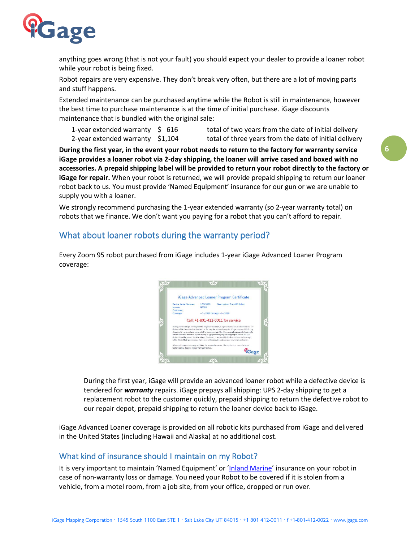

anything goes wrong (that is not your fault) you should expect your dealer to provide a loaner robot while your robot is being fixed.

Robot repairs are very expensive. They don't break very often, but there are a lot of moving parts and stuff happens.

Extended maintenance can be purchased anytime while the Robot is still in maintenance, however the best time to purchase maintenance is at the time of initial purchase. iGage discounts maintenance that is bundled with the original sale:

1-year extended warranty  $\leq 616$  total of two years from the date of initial delivery 2-year extended warranty \$1,104 total of three years from the date of initial delivery

**During the first year, in the event your robot needs to return to the factory for warranty service iGage provides a loaner robot via 2-day shipping, the loaner will arrive cased and boxed with no accessories. A prepaid shipping label will be provided to return your robot directly to the factory or iGage for repair.** When your robot is returned, we will provide prepaid shipping to return our loaner robot back to us. You must provide 'Named Equipment' insurance for our gun or we are unable to supply you with a loaner.

We strongly recommend purchasing the 1-year extended warranty (so 2-year warranty total) on robots that we finance. We don't want you paying for a robot that you can't afford to repair.

## What about loaner robots during the warranty period?

Every Zoom 95 robot purchased from iGage includes 1-year iGage Advanced Loaner Program coverage:



During the first year, iGage will provide an advanced loaner robot while a defective device is tendered for *warranty* repairs. iGage prepays all shipping: UPS 2-day shipping to get a replacement robot to the customer quickly, prepaid shipping to return the defective robot to our repair depot, prepaid shipping to return the loaner device back to iGage.

iGage Advanced Loaner coverage is provided on all robotic kits purchased from iGage and delivered in the United States (including Hawaii and Alaska) at no additional cost.

## What kind of insurance should I maintain on my Robot?

It is very important to maintain 'Named Equipment' or '[Inland Marine](https://en.wikipedia.org/wiki/Inland_marine_insurance)' insurance on your robot in case of non-warranty loss or damage. You need your Robot to be covered if it is stolen from a vehicle, from a motel room, from a job site, from your office, dropped or run over.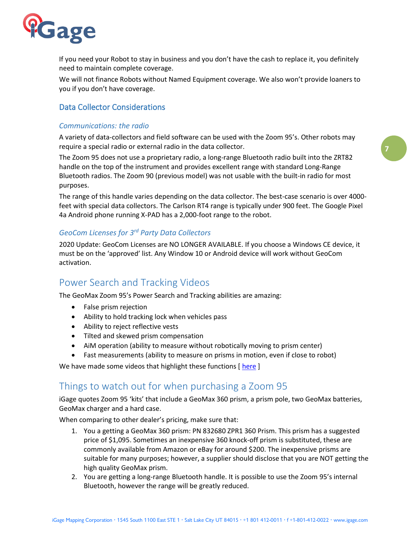

If you need your Robot to stay in business and you don't have the cash to replace it, you definitely need to maintain complete coverage.

We will not finance Robots without Named Equipment coverage. We also won't provide loaners to you if you don't have coverage.

## Data Collector Considerations

#### *Communications: the radio*

A variety of data-collectors and field software can be used with the Zoom 95's. Other robots may require a special radio or external radio in the data collector.

The Zoom 95 does not use a proprietary radio, a long-range Bluetooth radio built into the ZRT82 handle on the top of the instrument and provides excellent range with standard Long-Range Bluetooth radios. The Zoom 90 (previous model) was not usable with the built-in radio for most purposes.

The range of this handle varies depending on the data collector. The best-case scenario is over 4000 feet with special data collectors. The Carlson RT4 range is typically under 900 feet. The Google Pixel 4a Android phone running X-PAD has a 2,000-foot range to the robot.

### *GeoCom Licenses for 3rd Party Data Collectors*

2020 Update: GeoCom Licenses are NO LONGER AVAILABLE. If you choose a Windows CE device, it must be on the 'approved' list. Any Window 10 or Android device will work without GeoCom activation.

## Power Search and Tracking Videos

The GeoMax Zoom 95's Power Search and Tracking abilities are amazing:

- False prism rejection
- Ability to hold tracking lock when vehicles pass
- Ability to reject reflective vests
- Tilted and skewed prism compensation
- AiM operation (ability to measure without robotically moving to prism center)
- Fast measurements (ability to measure on prisms in motion, even if close to robot)

We have made some videos that highlight these functions [here]

## Things to watch out for when purchasing a Zoom 95

iGage quotes Zoom 95 'kits' that include a GeoMax 360 prism, a prism pole, two GeoMax batteries, GeoMax charger and a hard case.

When comparing to other dealer's pricing, make sure that:

- 1. You a getting a GeoMax 360 prism: PN 832680 ZPR1 360 Prism. This prism has a suggested price of \$1,095. Sometimes an inexpensive 360 knock-off prism is substituted, these are commonly available from Amazon or eBay for around \$200. The inexpensive prisms are suitable for many purposes; however, a supplier should disclose that you are NOT getting the high quality GeoMax prism.
- 2. You are getting a long-range Bluetooth handle. It is possible to use the Zoom 95's internal Bluetooth, however the range will be greatly reduced.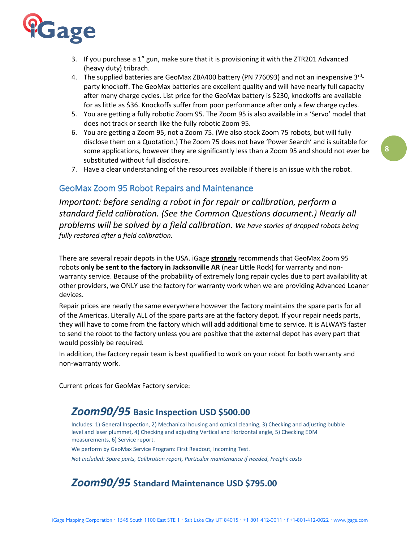

- 3. If you purchase a 1" gun, make sure that it is provisioning it with the ZTR201 Advanced (heavy duty) tribrach.
- 4. The supplied batteries are GeoMax ZBA400 battery (PN 776093) and not an inexpensive 3<sup>rd</sup>party knockoff. The GeoMax batteries are excellent quality and will have nearly full capacity after many charge cycles. List price for the GeoMax battery is \$230, knockoffs are available for as little as \$36. Knockoffs suffer from poor performance after only a few charge cycles.
- 5. You are getting a fully robotic Zoom 95. The Zoom 95 is also available in a 'Servo' model that does not track or search like the fully robotic Zoom 95.
- 6. You are getting a Zoom 95, not a Zoom 75. (We also stock Zoom 75 robots, but will fully disclose them on a Quotation.) The Zoom 75 does not have 'Power Search' and is suitable for some applications, however they are significantly less than a Zoom 95 and should not ever be substituted without full disclosure.
- 7. Have a clear understanding of the resources available if there is an issue with the robot.

### GeoMax Zoom 95 Robot Repairs and Maintenance

*Important: before sending a robot in for repair or calibration, perform a standard field calibration. (See the Common Questions document.) Nearly all problems will be solved by a field calibration. We have stories of dropped robots being fully restored after a field calibration.*

There are several repair depots in the USA. iGage **strongly** recommends that GeoMax Zoom 95 robots **only be sent to the factory in Jacksonville AR** (near Little Rock) for warranty and nonwarranty service. Because of the probability of extremely long repair cycles due to part availability at other providers, we ONLY use the factory for warranty work when we are providing Advanced Loaner devices.

Repair prices are nearly the same everywhere however the factory maintains the spare parts for all of the Americas. Literally ALL of the spare parts are at the factory depot. If your repair needs parts, they will have to come from the factory which will add additional time to service. It is ALWAYS faster to send the robot to the factory unless you are positive that the external depot has every part that would possibly be required.

In addition, the factory repair team is best qualified to work on your robot for both warranty and non-warranty work.

Current prices for GeoMax Factory service:

# *Zoom90/95* **Basic Inspection USD \$500.00**

Includes: 1) General Inspection, 2) Mechanical housing and optical cleaning, 3) Checking and adjusting bubble level and laser plummet, 4) Checking and adjusting Vertical and Horizontal angle, 5) Checking EDM measurements, 6) Service report.

We perform by GeoMax Service Program: First Readout, Incoming Test.

*Not included: Spare parts, Calibration report, Particular maintenance if needed, Freight costs*

# *Zoom90/95* **Standard Maintenance USD \$795.00**